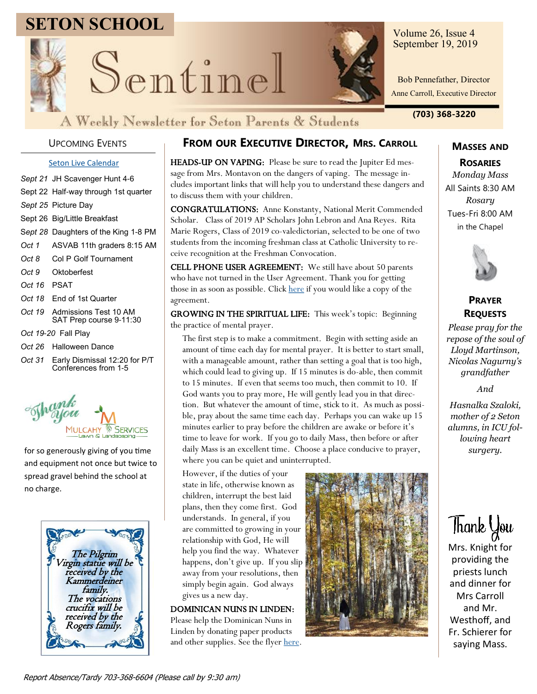# **SETON SCHOOL**



Sentinel

Volume 26, Issue 4 September 19, 2019

Bob Pennefather, Director Anne Carroll, Executive Director

**(703) 368-3220**

### UPCOMING EVENTS

#### **[Seton Live Calendar](https://docs.google.com/document/d/1fztVQ5S3pFFLBCpj6K-MQvf_boThjI-Sqk5K6Vo0xFM/edit?usp=sharing)**

- *Sept 21* JH Scavenger Hunt 4-6 Sept 22 Half-way through 1st quarter *Sept 25* Picture Day Sept 26 Big/Little Breakfast S*ept 28* Daughters of the King 1-8 PM *Oct 1* ASVAB 11th graders 8:15 AM *Oct 8* Col P Golf Tournament *Oct 9* Oktoberfest *Oct 16* PSAT *Oct 18* End of 1st Quarter
- *Oct 19* Admissions Test 10 AM SAT Prep course 9-11:30
- *Oct 19-20* Fall Play
- *Oct 26* Halloween Dance
- *Oct 31* Early Dismissal 12:20 for P/T Conferences from 1-5



for so generously giving of you time and equipment not once but twice to spread gravel behind the school at no charge.



### **FROM OUR EXECUTIVE DIRECTOR, MRS. CARROLL**

HEADS-UP ON VAPING: Please be sure to read the Jupiter Ed message from Mrs. Montavon on the dangers of vaping. The message includes important links that will help you to understand these dangers and to discuss them with your children.

CONGRATULATIONS: Anne Konstanty, National Merit Commended Scholar. Class of 2019 AP Scholars John Lebron and Ana Reyes. Rita Marie Rogers, Class of 2019 co-valedictorian, selected to be one of two students from the incoming freshman class at Catholic University to receive recognition at the Freshman Convocation.

CELL PHONE USER AGREEMENT: We still have about 50 parents who have not turned in the User Agreement. Thank you for getting those in as soon as possible. Click [here](https://setonschool.net/wp-content/uploads/2019/08/Cell-Phone-Policy-Agreement-Form.pdf) if you would like a copy of the agreement.

GROWING IN THE SPIRITUAL LIFE: This week's topic: Beginning the practice of mental prayer.

The first step is to make a commitment. Begin with setting aside an amount of time each day for mental prayer. It is better to start small, with a manageable amount, rather than setting a goal that is too high, which could lead to giving up. If 15 minutes is do-able, then commit to 15 minutes. If even that seems too much, then commit to 10. If God wants you to pray more, He will gently lead you in that direction. But whatever the amount of time, stick to it. As much as possible, pray about the same time each day. Perhaps you can wake up 15 minutes earlier to pray before the children are awake or before it's time to leave for work. If you go to daily Mass, then before or after daily Mass is an excellent time. Choose a place conducive to prayer, where you can be quiet and uninterrupted.

However, if the duties of your state in life, otherwise known as children, interrupt the best laid plans, then they come first. God understands. In general, if you are committed to growing in your relationship with God, He will help you find the way. Whatever happens, don't give up. If you slip away from your resolutions, then simply begin again. God always gives us a new day.

DOMINICAN NUNS IN LINDEN: Please help the Dominican Nuns in Linden by donating paper products and other supplies. See the flyer [here.](https://setonschool.net/wp-content/uploads/2019/09/Dominican-Nuns.pdf)



# **MASSES AND**

**ROSARIES** *Monday Mass* All Saints 8:30 AM *Rosary* Tues-Fri 8:00 AM in the Chapel



### **PRAYER REQUESTS**

*Please pray for the repose of the soul of Lloyd Martinson, Nicolas Nagurny's grandfather*

*And*

*Hasnalka Szaloki, mother of 2 Seton alumns, in ICU following heart surgery.*

Thank You

Mrs. Knight for providing the priests lunch and dinner for Mrs Carroll and Mr. Westhoff, and Fr. Schierer for saying Mass.